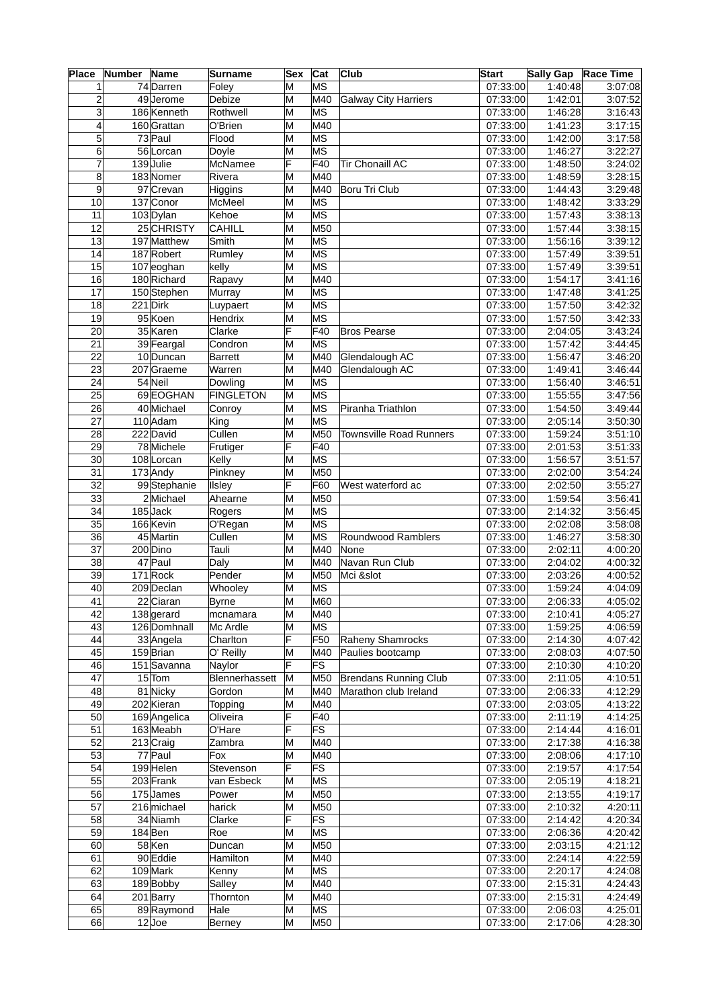| <b>Place</b>    | Number | Name         | Surname          | <b>Sex</b> | Cat                      | <b>Club</b>                    | <b>Start</b>          | <b>Sally Gap</b> | Race Time |
|-----------------|--------|--------------|------------------|------------|--------------------------|--------------------------------|-----------------------|------------------|-----------|
| $\mathbf{1}$    |        | 74 Darren    | Foley            | M          | MS                       |                                | 07:33:00              | 1:40:48          | 3:07:08   |
| $\overline{2}$  |        | 49 Jerome    | Debize           | M          | M40                      | <b>Galway City Harriers</b>    | 07:33:00              | 1:42:01          | 3:07:52   |
| 3               |        | 186 Kenneth  | Rothwell         | M          | MS                       |                                | $\overline{07:}33:00$ | 1:46:28          | 3:16:43   |
| $\overline{4}$  |        | 160Grattan   | O'Brien          | M          | M40                      |                                | 07:33:00              | 1:41:23          | 3:17:15   |
| 5               |        | 73 Paul      | Flood            | M          | $\overline{\mathsf{MS}}$ |                                | 07:33:00              | 1:42:00          | 3:17:58   |
| 6               |        | 56 Lorcan    | Doyle            | M          | MS                       |                                | 07:33:00              | 1:46:27          | 3:22:27   |
| $\overline{7}$  |        | 139Julie     | McNamee          | F          | F40                      | <b>Tir Chonaill AC</b>         | 07:33:00              | 1:48:50          | 3:24:02   |
| 8               |        | 183 Nomer    | Rivera           | M          | M40                      |                                | 07:33:00              | 1:48:59          | 3:28:15   |
| 9               |        | 97 Crevan    | Higgins          | M          | M40                      | Boru Tri Club                  | 07:33:00              | 1:44:43          | 3:29:48   |
| $\overline{10}$ |        | 137 Conor    | McMeel           | M          | MS                       |                                | 07:33:00              | 1:48:42          | 3:33:29   |
| 11              |        | 103 Dylan    | Kehoe            | M          | $\overline{\textsf{MS}}$ |                                | 07:33:00              | 1:57:43          | 3:38:13   |
| 12              |        | 25 CHRISTY   | <b>CAHILL</b>    | M          | M50                      |                                | $\overline{07:33:00}$ | 1:57:44          | 3:38:15   |
| 13              |        | 197 Matthew  | Smith            | M          | MS                       |                                | $\overline{07:33:00}$ | 1:56:16          | 3:39:12   |
| 14              |        | 187 Robert   | Rumley           | M          | MS                       |                                | 07:33:00              | 1:57:49          | 3:39:51   |
| 15              |        | 107 eoghan   | kelly            | M          | MS                       |                                | 07:33:00              | 1:57:49          | 3:39:51   |
| 16              |        | 180 Richard  | Rapavy           | M          | M40                      |                                | 07:33:00              | 1:54:17          | 3:41:16   |
| 17              |        | 150 Stephen  | Murray           | M          | MS                       |                                | 07:33:00              | 1:47:48          | 3:41:25   |
| 18              |        | 221 Dirk     | Luypaert         | M          | MS                       |                                | 07:33:00              | 1:57:50          | 3:42:32   |
| 19              |        | 95 Koen      | Hendrix          | M          | $\overline{\textsf{MS}}$ |                                | 07:33:00              | 1:57:50          | 3:42:33   |
| $\overline{20}$ |        | 35 Karen     | Clarke           | F          | F40                      | <b>Bros Pearse</b>             | 07:33:00              | 2:04:05          | 3:43:24   |
| $\overline{21}$ |        | 39 Feargal   | Condron          | M          | MS                       |                                | 07:33:00              | 1:57:42          | 3:44:45   |
| $\overline{22}$ |        | 10Duncan     | <b>Barrett</b>   | M          | M40                      | Glendalough AC                 | 07:33:00              | 1:56:47          | 3:46:20   |
| 23              |        | 207 Graeme   | Warren           | M          | M40                      | Glendalough AC                 | 07:33:00              | 1:49:41          | 3:46:44   |
| 24              |        | 54 Neil      | Dowling          | M          | MS                       |                                | 07:33:00              | 1:56:40          | 3:46:51   |
| $\overline{25}$ |        |              |                  |            | $\overline{\textsf{MS}}$ |                                | 07:33:00              | 1:55:55          | 3:47:56   |
|                 |        | 69EOGHAN     | <b>FINGLETON</b> | M          |                          |                                |                       |                  |           |
| 26              |        | 40 Michael   | Conroy           | M          | MS                       | Piranha Triathlon              | 07:33:00              | 1:54:50          | 3:49:44   |
| 27              |        | 110 Adam     | King             | M          | MS                       |                                | 07:33:00              | 2:05:14          | 3:50:30   |
| $\overline{28}$ |        | 222 David    | Cullen           | M          | M50                      | <b>Townsville Road Runners</b> | 07:33:00              | 1:59:24          | 3:51:10   |
| $\overline{29}$ |        | 78 Michele   | Frutiger         | F          | F40                      |                                | 07:33:00              | 2:01:53          | 3:51:33   |
| $\overline{30}$ |        | $108$ Lorcan | Kelly            | M          | $\overline{\mathsf{MS}}$ |                                | 07:33:00              | 1:56:57          | 3:51:57   |
| $\overline{31}$ |        | 173 Andy     | Pinkney          | M          | M50                      |                                | 07:33:00              | 2:02:00          | 3:54:24   |
| 32              |        | 99 Stephanie | Ilsley           | ΙF         | F60                      | West waterford ac              | $\overline{07:33:00}$ | 2:02:50          | 3:55:27   |
| $\overline{33}$ |        | 2 Michael    | Ahearne          | M          | M50                      |                                | 07:33:00              | 1:59:54          | 3:56:41   |
| 34              |        | 185Jack      | Rogers           | M          | MS                       |                                | 07:33:00              | 2:14:32          | 3:56:45   |
| $\overline{35}$ |        | 166 Kevin    | O'Regan          | M          | MS                       |                                | 07:33:00              | 2:02:08          | 3:58:08   |
| 36              |        | 45 Martin    | Cullen           | M          | ∣MS                      | Roundwood Ramblers             | 07:33:00              | 1:46:27          | 3:58:30   |
| $\overline{37}$ |        | 200 Dino     | Tauli            | M          | M40                      | None                           | 07:33:00              | 2:02:11          | 4:00:20   |
| $\overline{38}$ |        | 47 Paul      | Daly             | M          | M40                      | Navan Run Club                 | 07:33:00              | 2:04:02          | 4:00:32   |
| $\overline{39}$ |        | 171Rock      | Pender           | M          | M50                      | Mci &slot                      | 07:33:00              | 2:03:26          | 4:00:52   |
| 40              |        | $209$ Declan | Whooley          | M          | MS                       |                                | 07:33:00              | 1:59:24          | 4:04:09   |
| $\overline{41}$ |        | 22 Ciaran    | <b>Byrne</b>     | M          | M60                      |                                | 07:33:00              | 2:06:33          | 4:05:02   |
| 42              |        | 138 gerard   | mcnamara         | M          | M40                      |                                | 07:33:00              | 2:10:41          | 4:05:27   |
| 43              |        | 126 Domhnall | Mc Ardle         | M          | MS                       |                                | 07:33:00              | 1:59:25          | 4:06:59   |
| 44              |        | 33 Angela    | Charlton         | F          | F50                      | Raheny Shamrocks               | 07:33:00              | 2:14:30          | 4:07:42   |
| 45              |        | 159Brian     | O' Reilly        | M          | M40                      | Paulies bootcamp               | 07:33:00              | 2:08:03          | 4:07:50   |
| 46              |        | 151 Savanna  | Naylor           | F          | FS                       |                                | 07:33:00              | 2:10:30          | 4:10:20   |
| 47              |        | 15 Tom       | Blennerhassett   | M          | M50                      | <b>Brendans Running Club</b>   | 07:33:00              | 2:11:05          | 4:10:51   |
| 48              |        | 81 Nicky     | Gordon           | M          | M40                      | Marathon club Ireland          | 07:33:00              | 2:06:33          | 4:12:29   |
| 49              |        | 202 Kieran   | Topping          | M          | M40                      |                                | 07:33:00              | 2:03:05          | 4:13:22   |
| 50              |        | 169 Angelica | Oliveira         | F          | F40                      |                                | 07:33:00              | 2:11:19          | 4:14:25   |
| 51              |        | 163 Meabh    | O'Hare           | F          | FS                       |                                | 07:33:00              | 2:14:44          | 4:16:01   |
| $\overline{52}$ |        | 213 Craig    | Zambra           | M          | M40                      |                                | 07:33:00              | 2:17:38          | 4:16:38   |
| 53              |        | 77 Paul      | Fox              | M          | M40                      |                                | 07:33:00              | 2:08:06          | 4:17:10   |
| 54              |        | 199 Helen    | Stevenson        | F          | $\overline{\mathsf{FS}}$ |                                | 07:33:00              | 2:19:57          | 4:17:54   |
| 55              |        |              |                  | M          | MS                       |                                | 07:33:00              | 2:05:19          | 4:18:21   |
|                 |        | 203 Frank    | van Esbeck       |            |                          |                                |                       |                  |           |
| 56              |        | 175 James    | Power            | M          | M50                      |                                | 07:33:00              | 2:13:55          | 4:19:17   |
| $\overline{57}$ |        | 216 michael  | harick           | M          | M50                      |                                | 07:33:00              | 2:10:32          | 4:20:11   |
| 58              |        | 34 Niamh     | Clarke           | F          | FS                       |                                | 07:33:00              | 2:14:42          | 4:20:34   |
| 59              |        | 184Ben       | Roe              | M          | MS                       |                                | 07:33:00              | 2:06:36          | 4:20:42   |
| 60              |        | 58 Ken       | Duncan           | M          | M50                      |                                | 07:33:00              | 2:03:15          | 4:21:12   |
| 61              |        | 90 Eddie     | Hamilton         | M          | M40                      |                                | 07:33:00              | 2:24:14          | 4:22:59   |
| 62              |        | 109 Mark     | Kenny            | M          | MS                       |                                | 07:33:00              | 2:20:17          | 4:24:08   |
| 63              |        | 189Bobby     | Salley           | M          | M40                      |                                | 07:33:00              | 2:15:31          | 4:24:43   |
| 64              |        | 201Barry     | Thornton         | M          | M40                      |                                | 07:33:00              | 2:15:31          | 4:24:49   |
| 65              |        | 89 Raymond   | Hale             | M          | MS                       |                                | 07:33:00              | 2:06:03          | 4:25:01   |
| 66              |        | $12$ Joe     | <b>Berney</b>    | M          | M50                      |                                | 07:33:00              | 2:17:06          | 4:28:30   |